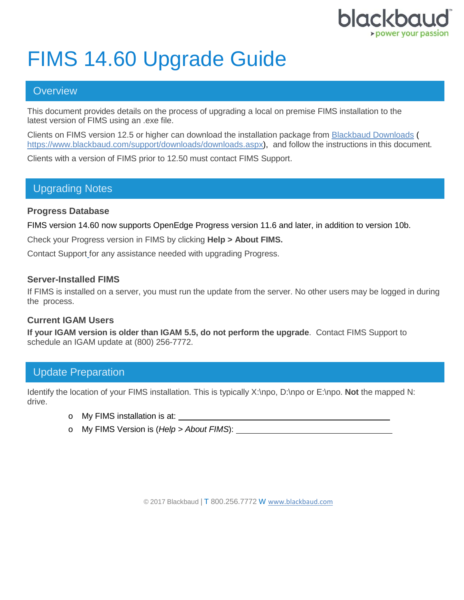

# FIMS 14.60 Upgrade Guide

## **Overview**

This document provides details on the process of upgrading a local on premise FIMS installation to the latest version of FIMS using an .exe file.

Clients on FIMS version 12.5 or higher can download the installation package from [Blackbaud Downloads](https://www.blackbaud.com/support/downloads/downloads.aspx) ( [https://www.blackbaud.com/support/downloads/downloads.aspx\)](https://www.blackbaud.com/support/downloads/downloads.aspx), and follow the instructions in this document.

Clients with a version of FIMS prior to 12.50 must contact FIMS Support.

## Upgrading Notes

### **Progress Database**

FIMS version 14.60 now supports OpenEdge Progress version 11.6 and later, in addition to version 10b.

Check your Progress version in FIMS by clicking **Help > About FIMS.**

Contact Support for any assistance needed with upgrading Progress.

#### **Server-Installed FIMS**

If FIMS is installed on a server, you must run the update from the server. No other users may be logged in during the process.

### **Current IGAM Users**

**If your IGAM version is older than IGAM 5.5, do not perform the upgrade**. Contact FIMS Support to schedule an IGAM update at (800) 256-7772.

# Update Preparation

Identify the location of your FIMS installation. This is typically X:\npo, D:\npo or E:\npo. **Not** the mapped N: drive.

- o My FIMS installation is at:
- o My FIMS Version is (*Help > About FIMS*):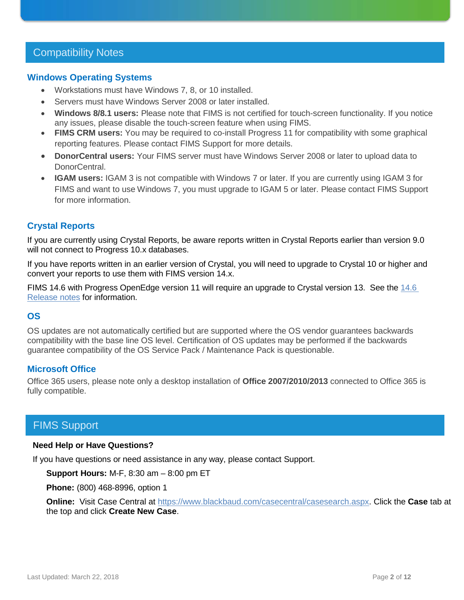## Compatibility Notes

#### **Windows Operating Systems**

- Workstations must have Windows 7, 8, or 10 installed.
- Servers must have Windows Server 2008 or later installed.
- **Windows 8/8.1 users:** Please note that FIMS is not certified for touch-screen functionality. If you notice any issues, please disable the touch-screen feature when using FIMS.
- **FIMS CRM users:** You may be required to co-install Progress 11 for compatibility with some graphical reporting features. Please contact FIMS Support for more details.
- **DonorCentral users:** Your FIMS server must have Windows Server 2008 or later to upload data to DonorCentral.
- **IGAM users:** IGAM 3 is not compatible with Windows 7 or later. If you are currently using IGAM 3 for FIMS and want to use Windows 7, you must upgrade to IGAM 5 or later. Please contact FIMS Support for more information.

### **Crystal Reports**

If you are currently using Crystal Reports, be aware reports written in Crystal Reports earlier than version 9.0 will not connect to Progress 10.x databases.

If you have reports written in an earlier version of Crystal, you will need to upgrade to Crystal 10 or higher and convert your reports to use them with FIMS version 14.x.

FIMS 14.6 with Progress OpenEdge version 11 will require an upgrade to Crystal version 13. See the [14.6](https://www.blackbaud.com/files/support/guides/microedge/fims/fims_releasenotes.pdf)  [Release notes](https://www.blackbaud.com/files/support/guides/microedge/fims/fims_releasenotes.pdf) for information.

#### **OS**

OS updates are not automatically certified but are supported where the OS vendor guarantees backwards compatibility with the base line OS level. Certification of OS updates may be performed if the backwards guarantee compatibility of the OS Service Pack / Maintenance Pack is questionable.

#### **Microsoft Office**

Office 365 users, please note only a desktop installation of **Office 2007/2010/2013** connected to Office 365 is fully compatible.

## FIMS Support

#### **Need Help or Have Questions?**

If you have questions or need assistance in any way, please contact Support.

**Support Hours:** M-F, 8:30 am – 8:00 pm ET

**Phone:** (800) 468-8996, option 1

**Online:** Visit Case Central at [https://www.blackbaud.com/casecentral/casesearch.aspx.](https://www.blackbaud.com/casecentral/casesearch.aspx) Click the **Case** tab at the top and click **Create New Case**.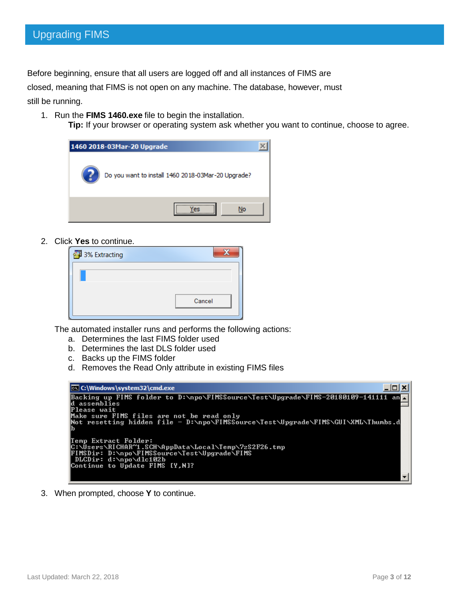Before beginning, ensure that all users are logged off and all instances of FIMS are

closed, meaning that FIMS is not open on any machine. The database, however, must still be running.

1. Run the **FIMS 1460.exe** file to begin the installation.

**Tip:** If your browser or operating system ask whether you want to continue, choose to agree.



2. Click **Yes** to continue.

| 3% Extracting |        |
|---------------|--------|
|               |        |
|               |        |
|               | Cancel |
|               |        |

The automated installer runs and performs the following actions:

- a. Determines the last FIMS folder used
- b. Determines the last DLS folder used
- c. Backs up the FIMS folder
- d. Removes the Read Only attribute in existing FIMS files



3. When prompted, choose **Y** to continue.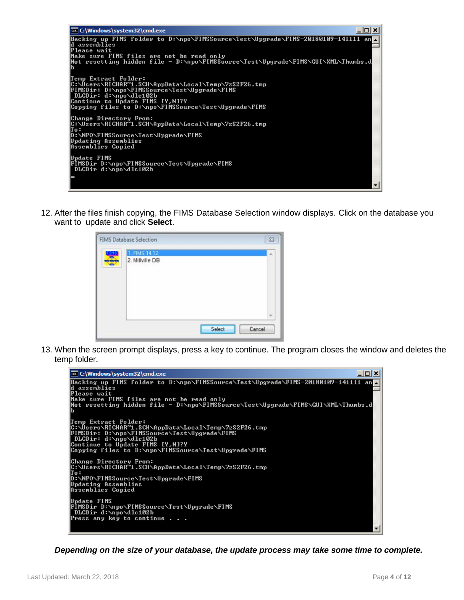

12. After the files finish copying, the FIMS Database Selection window displays. Click on the database you want to update and click **Select**.

|   | <b>FIMS Database Selection</b> |        | 23     |
|---|--------------------------------|--------|--------|
| 黑 | 1. FIMS 14.12                  |        | ×.     |
|   | 2. Millville DB                |        |        |
|   |                                |        |        |
|   |                                |        |        |
|   |                                |        |        |
|   |                                |        |        |
|   |                                |        | ÷      |
|   |                                | Select | Cancel |
|   |                                |        |        |

13. When the screen prompt displays, press a key to continue. The program closes the window and deletes the temp folder.



*Depending on the size of your database, the update process may take some time to complete.*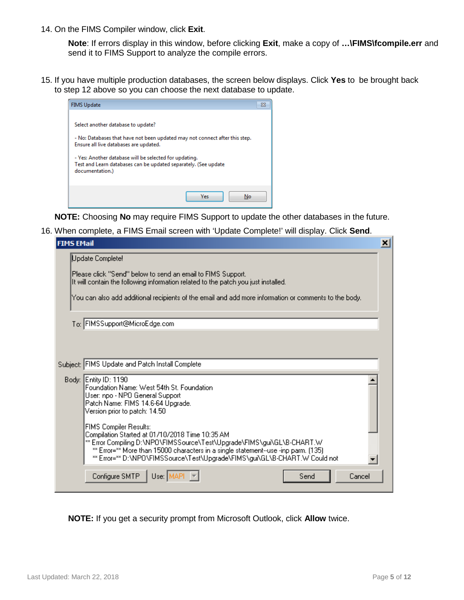14. On the FIMS Compiler window, click **Exit**.

**Note**: If errors display in this window, before clicking **Exit**, make a copy of **…\FIMS\fcompile.err** and send it to FIMS Support to analyze the compile errors.

15. If you have multiple production databases, the screen below displays. Click **Yes** to be brought back to step 12 above so you can choose the next database to update.



**NOTE:** Choosing **No** may require FIMS Support to update the other databases in the future.

16. When complete, a FIMS Email screen with 'Update Complete!' will display. Click **Send**.

| <b>FIMS EMail</b> |                                                                                                                                                                                                                                                                                                                                 | × |
|-------------------|---------------------------------------------------------------------------------------------------------------------------------------------------------------------------------------------------------------------------------------------------------------------------------------------------------------------------------|---|
|                   | Update Complete!                                                                                                                                                                                                                                                                                                                |   |
|                   | Please click "Send" below to send an email to FIMS Support.<br>It will contain the following information related to the patch you just installed.                                                                                                                                                                               |   |
|                   | You can also add additional recipients of the email and add more information or comments to the body.                                                                                                                                                                                                                           |   |
|                   | To: FIMSSupport@MicroEdge.com                                                                                                                                                                                                                                                                                                   |   |
|                   |                                                                                                                                                                                                                                                                                                                                 |   |
|                   |                                                                                                                                                                                                                                                                                                                                 |   |
|                   | Subject: FIMS Update and Patch Install Complete                                                                                                                                                                                                                                                                                 |   |
|                   | Body: Entity ID: 1190<br>Foundation Name: West 54th St. Foundation<br>User: npo - NPO General Support<br>Patch Name: FIMS 14.6-64 Upgrade.<br>Version prior to patch: 14.50                                                                                                                                                     |   |
|                   | <b>FIMS Compiler Results:</b><br>Compilation Started at 01/10/2018 Time 10:35 AM<br>** Error Compiling D:\NPO\FIMSSource\Test\Upgrade\FIMS\gui\GL\B-CHART.W<br>** Error=** More than 15000 characters in a single statement--use -inp parm. (135)<br>** Error=** D:\NPO\FIMSSource\Test\Upgrade\FIMS\gui\GL\B-CHART.W Could not |   |
|                   | Configure SMTP<br>Send<br>Cancel<br>Use: IMA                                                                                                                                                                                                                                                                                    |   |

**NOTE:** If you get a security prompt from Microsoft Outlook, click **Allow** twice.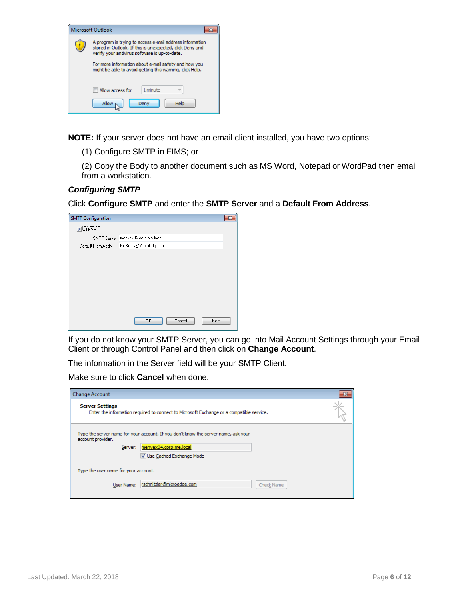

**NOTE:** If your server does not have an email client installed, you have two options:

(1) Configure SMTP in FIMS; or

(2) Copy the Body to another document such as MS Word, Notepad or WordPad then email from a workstation.

#### *Configuring SMTP*

Click **Configure SMTP** and enter the **SMTP Server** and a **Default From Address**.

| <b>V</b> Use SMTP<br>SMTP Server: menyex04.corp.me.local<br>Default From Address: NoReply@MicroEdge.com |
|---------------------------------------------------------------------------------------------------------|
|                                                                                                         |
|                                                                                                         |
|                                                                                                         |
|                                                                                                         |
|                                                                                                         |
|                                                                                                         |
|                                                                                                         |
|                                                                                                         |
|                                                                                                         |
|                                                                                                         |
|                                                                                                         |
| OK<br>Cancel<br>Help                                                                                    |

If you do not know your SMTP Server, you can go into Mail Account Settings through your Email Client or through Control Panel and then click on **Change Account**.

The information in the Server field will be your SMTP Client.

Make sure to click **Cancel** when done.

| <b>Change Account</b>                |                                                                                                                                            | 23 |  |  |
|--------------------------------------|--------------------------------------------------------------------------------------------------------------------------------------------|----|--|--|
| <b>Server Settings</b>               | Enter the information required to connect to Microsoft Exchange or a compatible service.                                                   |    |  |  |
| account provider.<br>Server:         | Type the server name for your account. If you don't know the server name, ask your<br>menyex04.corp.me.local<br>V Use Cached Exchange Mode |    |  |  |
| Type the user name for your account. |                                                                                                                                            |    |  |  |
| User Name:                           | rschnitzler@microedge.com<br>Check Name                                                                                                    |    |  |  |